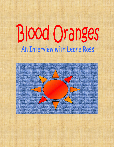## **Blood Oranges** An Interview with Leone Ross

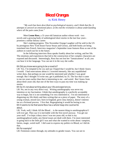## **Blood Oranges** By Kirk Henry

*"My work has been described as psychological mystery, and I think that fits. It attempts to unravel an emotional place; at the end the revelation is about understanding where all the pain came from."*

Meet **Leone Ross**, a 31-year-old Jamaican author whose work - two novels and a growing body of anthologized short stories in the last four years promises a stellar literary career.

She's making progress. This November Orange Laughter will be sold in the US by prestigious New York house Farrar Straus and Giroux, and both books are being translated into French. Interview magazine's September issue features Ross as one of the authors to watch out for in the future.

In the following interview Ross speaks frankly about her writing, and her life. The emotions and experiences that led to the construction of her complex characters are exposed and discussed. Interestingly, Ross has not lost her "Jamaicanness" at all; you can hear it in her language. You can see it in the way she walks.

KH: Did you know were going to be a novelist?

LR: Yes. I'm tempted to be coy and say I hoped that I would be, but I think I knew I would. I had reservations about it: I worried intensely, like any unpublished writer does, that perhaps no one would be interested and whether I was good enough. But I thought I'd write one, get it published, by 35. The fact that it came to me ten years earlier than that is interesting to me - and weird. But I knew from about three years old, that one of the best ways to pass my time was making up stories.

KH: So it's not about writing about your life and experiences.

LR: No, not in any very direct way. Writing autobiography was never my intention or my fascination. I think that autobiography is a perfectly acceptable way to begin, but it is not something I'm very interested in. I'm not interested in disguising my life thinly and then writing that on a piece of paper. The story of a young woman, mixed race, born in England, grow inna Jamaica, doesn't interest me as a fictional process. I live that. Regurgitating it would be boring to me. KH: It seems to me that Leone Ross has a whole heap she could write about.

LR: Yeah, well, I think All the Blood… is the nearest thing to autobiographical I will ever get. They say it is inevitable with the first novel anyway. You get out your stuff. I've kept a diary since I was ten years old, so that is my

autobiographical outlet, any literal issues are dealt with there. I'm more interested in going back to the little girl I was and what she wanted to write about: vampires, fairies, magic, weird stuff. I did want to express my politics in Blood, so I did do that.

KH: For example?

LR: Feminism comes through, my attitudes to gender issues. You can see in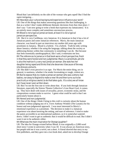Blood that I am definitely on the side of the woman who gets raped! But I find the rapist intriguing…

KH: How does your cultural background/experience influence your work? LR: One of the things that makes answering questions like that challenging, is that as a writer I don't make deliberate thematic decisions from that clear place. I don't say: 'I am now going to write a book that expresses my Jamaicaness.' It is an entirely more complex and sometimes unconscious process. KH: Blood is not a typical Jamaican book, at least it is not a typical Jamaican perspective.

LR: But it is very Caribbean, very Jamaican. It is Jamaican in that it has a lot of Jamaican patois and some Jamaican references. Mavis, the main Jamaican character, was based in part on interviews my mother did years ago with prostitutes in Jamaica. Blood is a hybrid. I'm a hybrid. Truth be told, writing about Jamaica, whether it be using the language, talking about the society or addressing themes within that community is something I can do. But because that feels essentially autobiographical, like I said, it entertains me less. KH: The references to Jamaica in that book were a fresh perspective, fresh in that they were honest and non-judgmental. Mavis is a prostitute, yet she is also the matriarch, a very real Jamaican woman. She watches her daughter being raped and thinks that she deserves it because of the way she dresses and acts.

LR: She didn't even perceive it as rape. For Mavis the entire thing, sex in general, is nastiness, whether it be tender lovemaking or rough, violent sex. KH: But to expose that, to create a Jamaican woman who was a whore, had babies, ran away to England to make a new life and then turns out to be practically a religious zealot, to do that takes guts. It's a story we all know but I have never seen written down.

LR: But I'm not the first one to write about that. If you look through Jamaican literature, especially the Sistren Theatre Collective's Lion Heart Gyal, it comes up. They have dealt with issues of sexuality, power, economic strata, and the compromises women make to survive. I guess what could be said is that I am particularly honest about it.

KH: Honest and non-judgmental.

LR: One of the things I think I bring to this craft is curiosity about the human condition without judging any of it. I love Anthony Winkler (The Lunatic) for his honest and non-judgmental approach. I was most interested in Mavis's emotional experience as a prostitute. The decision to make it a Jamaican experience was about knowing the setting, and ease of reference. I tried to make the patois accessible to an international audience, so it is somewhat watereddown. I didn't want to get so authentic that it would be difficult to read. But I didn't want it not to be authentic either.

KH: What was the main inspiration for Orange Laughter?

LR: The idea for Orange existed before Blood. It was originally a 2,000 word short story I wrote in university when I was 18. It was always an American story, but people told me it was a novel, not a short. A friend showed that story to my first publishers, and they gave me a two book deal, asked me to develop Orange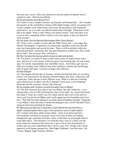the story into a novel. They also asked me to do the outline of another novel I wanted to write. That became Blood.

KH: So why did you write Blood first?

LR: I knew it was a simpler narrative, structurally and thematically. I felt I needed the practice of the craft before writing a full-length Orange, which was going to be a more complex work. Both books come from my fascination with emotional experiences. So in a crude way Blood started when I thought, 'What does it feel like to be raped? What is that? What is the nature of that? And what does it do to you if your community doesn't believe you were raped, or that you deserved what you got?

KH: You mean like the Desiree Washington/Mike Tyson drama?

LR: Yeah, it was a couple of years after the Mike Tyson trial. I was angry that Desiree Washington's experience was dismissed, regardless of the fact that the man was found guilty and served his time. There is still an attitude within the international black community that 'the gyal bring down a black man. How could she do that?' Not everyone. But I still hear it.

KH: Yes I've heard her being called a hussy by men and women.

LR: You know, I've gone to many a hotel room, many an empty house with a man, and even if I was unwise, it did not mean I was inviting rape. No one invites rape. For me the responsibility was with Mike Tyson. And when a girl says no, hold your fucking corner! Blood came from wanting to explore that psychology, both of raped and rapist. You have to begin with character.

KH: And Orange?

LR: That began with the idea of outcasts, of kids who feel that they are not being loved. I was interested in the dynamic between Mikey and Tony, a black boy and a white boy, both outcasts in their different ways. What is it like not to belong, and to find saviors in others who don't belong? I never start a novel thinking about the specific storyline, always with character.

KH: So it began with children, not with the adult Tony or Mikey?

LR: The first character that came to me was Mikey, the little white boy. I was sitting under a tree at UWI and heard his voice in my head: 'So, I have this friend. His name is Tony, he's really cute, he's black and he takes care of me and he's clever and I'm just fat ole Mikey and I really appreciate his friendship and I love him.' This little boy kept talking in my head, about friendship and pain. Originally it was Mikey's story but when I started developing it into a novel I decided Tony's character had more potential for drama.

KH: Obviously you feel your characters. Could that be the secret to the indepth characterization which your critics praise so much in both novels? LR: I cannot write them unless I know them. I have to sit down and have conversations with them in my head. I have to do lists of their core beliefs, background, age, what they look like. I have to feel them as real people before I write them down. The literature I've loved the most, even as a child, was the work where the characters felt real to me. I give a lot of time and patience to writers who can carve individuals that I can see, hear, feel. People with a fresh approach to the human perspective. John Edgar Wideman, Toni Morrison, Pat Conroy, Miguel Angel Asturias, Dickens.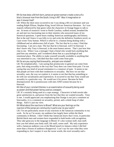KH: So how does a British born, Jamaican grown woman create a story of a black, bisexual man from the South, living in NY? Was it imagination or was it researched?

LR: When the short story occurred to me I was doing a BA in Literature and was reading Ralph Ellison, Stephen King, loved African American literature. So I was majorly influenced by that genre when the characters in Orange began to talk to me. In terms of research I went to North Carolina, walked around, breathed the air and met two fascinating men in their nineties who answered many of my historical questions. I spent hours reading American autobiography and history. But in the end I knew it was folly to try and write the definitive Southern novel, so I just wrote Tony human. Which is what he is: a human being dealing with a childhood and an adolescence full of pain. The fact that he is a man, I find that fascinating. I am not a man. The fact that he is bisexual, well I'm bisexual. I don't know why Tony is bisexual, is the most honest answer. That's just how him chat to me. When I was a teenager I had a friend who would fuck anything that paid him any attention, and I wondered about that as a psychological and emotional place. The ability to make yourself sexually available to anything that was interested in you. I decided that that could come from pain. KH: So are you saying that bisexuality…and pain are related?

LR: No (emphatically). I am saying that promiscuity in general can come from pain, that using sexuality in the way that Tony does can come from pain. I'm not saying that any kind of sexual orientation is a construct of pain. It seems to me that people are born with their tendencies to sexuality. But how we use that sexuality, sure, the way we explore it, it seems to me that that has something to do with our socialisation and experiences. It occurred to me that Tony would use sexuality in a particular way. He would use it for power. Because he feels disempowered. He is promiscuous with men AND women because he is bisexual.

KH: One of your constant themes is an examination of sexuality being used as power and that power being used as a weapon.

LR: It's certainly being used as a cope strategy. Characters in both novels take great satisfaction in, and power from the fact that they are wanted sexually. Tony is one. I would appreciate you emphasising that Orange is not just a comment on bisexuality, it is a comment on sexuality, period, and a whole heap of other things. And it's just my view.

KH: What about the reactions to Blood? What are your feelings on the reaction of the Jamaican community in particular, to your work?

LR: I'm not particularly aware of any reactions in the Jamaican community to my work. So far as I'm aware, my audience has largely been within the black community in Britain. I don't think that Jamaicans know that I exist, in particular. British black men and women have responded to both books with recognition. They take great joy in the language in Blood. It's also woman stuff, man stuff, how you feel about your body stuff, life stuff, career stuff. My only experience with a Jamaican audience was at the Blood launch in Jamaica where I did feel more than a frisson of audience disapproval. I can't say for sure what they were responding to, but I suspect it was the swear words, the overt sexuality and a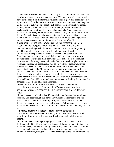feeling that this was not the most positive way that I could portray Jamaica, like: 'You've left Jamaica to write about slackness.' With the best will in the world, I don't give a fuck. I can't afford to. I've learnt - after a great deal of anxiety - that my job is to produce the best work that I can. More and more I am able to ignore all the 'shoulds': should write about black politics, should write about gender politics, should present black men in a positive light, shouldn't be writing slackness. Nobody controls what I write about, nobody. No one makes that decision for me. Every writer has to find a way to satisfy himself in terms of his themes. Sexuality is going to be a constant theme in my work. It is a constant theme in my life. A fascination with the way that we are sexual beings. But it would be nice to get recognition in Jamaica. It is home, after all. KH: You are not writing lies or anything uncommon, whether people want to admit it or not. But Jamaica is conservative. I can only imagine the reaction to a reading that includes fuck, bumboclaat etc, especially coming out of the mouth of a woman portrayed as a Jamaican matriarch. LR: You see, if people were shocked or dismayed, I am sorry, but it is true. Something that came up a lot in black British audiences, was: why are you creating this negative black male character? That comes from a communal consciousness of the way the British media deals with black people, its persistent racism and myopia. So people asked me: do we really need more works that promote the idea of the black man as beast, rapist, hurtful? But there is the balance in characters like Michael, a gorgeous man who happens to be black. Otherwise, I simply ask: do black men rape? It is not one of the most 'positive' things I can write about but it is one of the truths that I can write about. Sometimes life is ugly. But then I think my work is also full of redemption and hope and love. I would hate to think that my readers are thinking that it's just this dark shit. There's a lot of hope and humour.

KH: And there are alternatives in the work. I think you show in some characters, at least, a sort of responsibility. They can make conscious decisions. The reader recognises that this character could take a different route.

LR: Yes. Jeanette could allow her life to end after she is raped, but she chooses freedom. She goes through this period in which she is traumatized and she doesn't feel that she can be a sexual person, but in the end she makes the decision to dance and to feel her sensuality again. To love again. Tony makes decisions too. New ones. Life waits for them – question is, what will they do with it?

KH: I'm fascinated with the great divergence in the content and presentation of the two novels. As a young author, how have you managed to avoid what seems to be the norm - writing the same story in the same setting?

LR: I'm not interested in repeating myself. There were people who wanted All the Blood is Red 2 but it's not going to happen. I do see commonality in the two books, obviously, because the uniting factor is me, and that which fascinates me. I see them both as comments about friendship, sexuality, love, power, fear, childhood, parenting, race, gender…and things that go bump – in your brain – at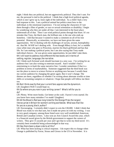night. I think they are political, but not aggressively political. They don't rant. For me, the personal is tied to the political. I think that a high level political agenda, which is one I grew up in, loses sight of the individual. As a child I had a very bad response to this. I am a political animal but politics must bow to the individual, to the emotional experience. I'm not seeing the characters if I see them through a filter of gender, or race or sexual orientation or disability. I begin by wondering who they are under all that. I am interested in the heart place underneath all of that. Then I can wind political points through that heart. It's no mistake that Tony, the black man, the brilliant one, is the one who ends up homeless. I did that because I wanted to make a comment on all of his lost potential. Historically, as minorities, we have not been given the same opportunities. We're dealing with the challenges of racism, sexism, homophobia etc. that Mr. WASP isn't dealing with. Even though Mikey is hurt, he's a middle class white man who goes to Princeton, marries his black girlfriend and has that life. So I am making a political point, but I am also saying that Tony made individual choices – he was given some opportunities, he just didn't take them. KH: I still want to address how different the two books are in terms of setting, register, language, the narrative.

LR: I think each fictional work should fascinate in a new way. I'm writing for an audience but I am also writing to entertain myself. And I wouldn't find it entertaining to re-hash the same narrative line. I wonder sometimes if that is a problem in terms of marketability. Someone suggested that the third book was not the place to move to science fiction or anything new because I would cheat my current audience by changing the genre again. But it won't change. The themes are there, regardless of whether I'm writing about alternate worlds or time shifts or screaming vampires or whatever. I hope that people will follow me there too.

KH: But I think exactly that your current fans appreciate the dynamism.

LR: (laughter) Well I would hope so.

KH: So where are you now in your writing career? What's left for you to do?

LR: Plenty. Write more books. Get better at the craft. I haven't even started. Do you know how many mistakes I've made? (laughter)

KH: All the Blood is Red was long listed for the Orange Prize, the largest literary prize in Britain for women's writing worldwide. What was that like for you as a young, black, author?

LR: Encouraging. I certainly didn't expect to win the £30,000. I didn't think that Blood was ready to win that sum, but it made me press on with my writing. I was in very good company; among those listed were very well established American, British and Canadian writers. I also won an Arts Council Award this year, which is a financial award given by the British government to support the careers of writers. They give 15 awards per year and I got that to write my third novel. It's certainly been wonderful being acknowledged in that way.

KH: Has there been a down side to all this?

LR: What has been lacking is critical response. I do expect this to change when Orange is published by Farrar, Straus and Giroux in the US in November. It is